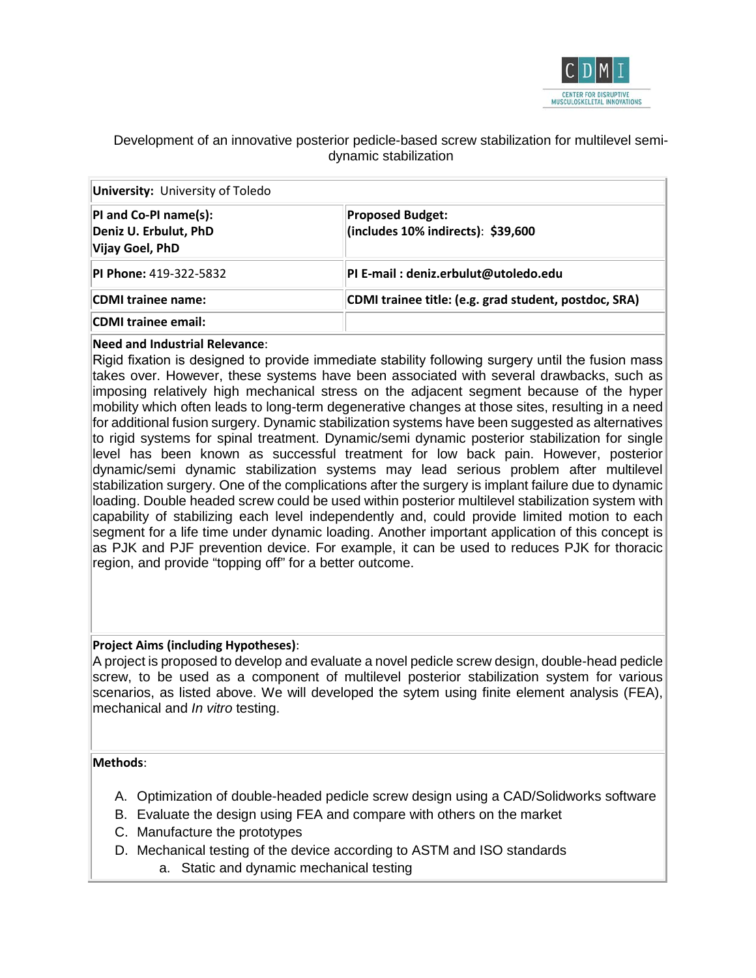

# Development of an innovative posterior pedicle-based screw stabilization for multilevel semidynamic stabilization

| <b>University:</b> University of Toledo                           |                                                                   |
|-------------------------------------------------------------------|-------------------------------------------------------------------|
| PI and Co-PI name(s):<br>Deniz U. Erbulut, PhD<br>Vijay Goel, PhD | <b>Proposed Budget:</b><br>$ $ (includes 10% indirects): \$39,600 |
| <b>PI Phone: 419-322-5832</b>                                     | PI E-mail: deniz.erbulut@utoledo.edu                              |
| CDMI trainee name:                                                | CDMI trainee title: (e.g. grad student, postdoc, SRA)             |
| CDMI trainee email:                                               |                                                                   |

## **Need and Industrial Relevance**:

Rigid fixation is designed to provide immediate stability following surgery until the fusion mass takes over. However, these systems have been associated with several drawbacks, such as imposing relatively high mechanical stress on the adjacent segment because of the hyper mobility which often leads to long-term degenerative changes at those sites, resulting in a need for additional fusion surgery. Dynamic stabilization systems have been suggested as alternatives to rigid systems for spinal treatment. Dynamic/semi dynamic posterior stabilization for single level has been known as successful treatment for low back pain. However, posterior dynamic/semi dynamic stabilization systems may lead serious problem after multilevel stabilization surgery. One of the complications after the surgery is implant failure due to dynamic loading. Double headed screw could be used within posterior multilevel stabilization system with capability of stabilizing each level independently and, could provide limited motion to each segment for a life time under dynamic loading. Another important application of this concept is as PJK and PJF prevention device. For example, it can be used to reduces PJK for thoracic region, and provide "topping off" for a better outcome.

### **Project Aims (including Hypotheses)**:

A project is proposed to develop and evaluate a novel pedicle screw design, double-head pedicle screw, to be used as a component of multilevel posterior stabilization system for various scenarios, as listed above. We will developed the sytem using finite element analysis (FEA), mechanical and *In vitro* testing.

### **Methods**:

- A. Optimization of double-headed pedicle screw design using a CAD/Solidworks software
- B. Evaluate the design using FEA and compare with others on the market
- C. Manufacture the prototypes
- D. Mechanical testing of the device according to ASTM and ISO standards
	- a. Static and dynamic mechanical testing